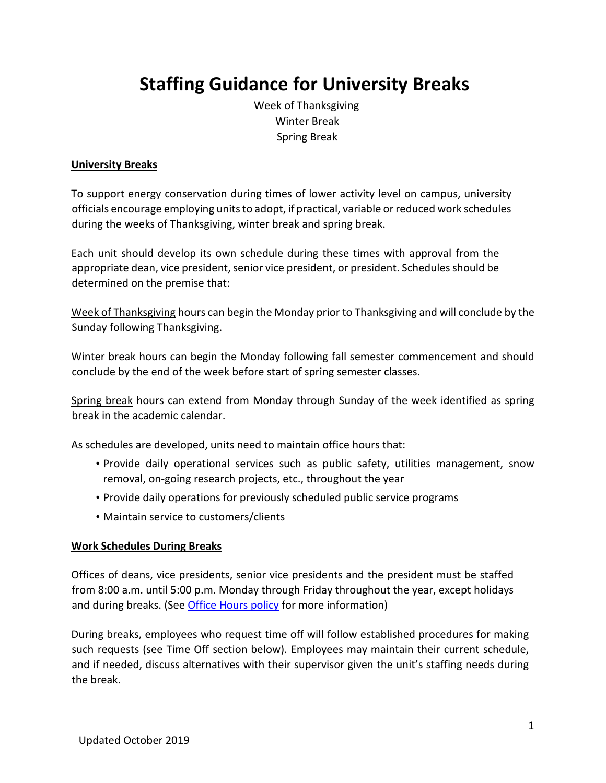# **Staffing Guidance for University Breaks**

Week of Thanksgiving Winter Break Spring Break

#### **University Breaks**

To support energy conservation during times of lower activity level on campus, university officials encourage employing units to adopt, if practical, variable or reduced work schedules during the weeks of Thanksgiving, winter break and spring break.

Each unit should develop its own schedule during these times with approval from the appropriate dean, vice president, senior vice president, or president. Schedules should be determined on the premise that:

Week of Thanksgiving hours can begin the Monday prior to Thanksgiving and will conclude by the Sunday following Thanksgiving.

Winter break hours can begin the Monday following fall semester commencement and should conclude by the end of the week before start of spring semester classes.

Spring break hours can extend from Monday through Sunday of the week identified as spring break in the academic calendar.

As schedules are developed, units need to maintain office hours that:

- Provide daily operational services such as public safety, utilities management, snow removal, on-going research projects, etc., throughout the year
- Provide daily operations for previously scheduled public service programs
- Maintain service to customers/clients

#### **Work Schedules During Breaks**

Offices of deans, vice presidents, senior vice presidents and the president must be staffed from 8:00 a.m. until 5:00 p.m. Monday through Friday throughout the year, except holidays [and during brea](http://www.policy.iastate.edu/policy/hours)ks. (Se[e Office Hours](http://www.policy.iastate.edu/policy/hours) [policy](http://www.policy.iastate.edu/policy/hours) [for](http://www.policy.iastate.edu/policy/hours) more information)

During breaks, employees who request time off will follow established procedures for making such requests (see Time Off section below). Employees may maintain their current schedule, and if needed, discuss alternatives with their supervisor given the unit's staffing needs during the break.